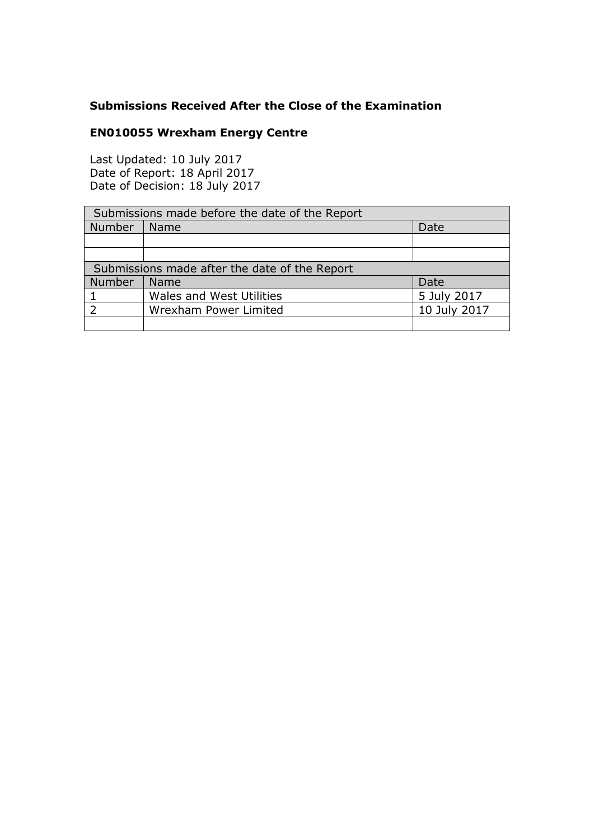## **Submissions Received After the Close of the Examination**

## **EN010055 Wrexham Energy Centre**

Last Updated: 10 July 2017 Date of Report: 18 April 2017 Date of Decision: 18 July 2017

| Submissions made before the date of the Report |                                 |              |
|------------------------------------------------|---------------------------------|--------------|
| Number                                         | <b>Name</b>                     | Date         |
|                                                |                                 |              |
|                                                |                                 |              |
| Submissions made after the date of the Report  |                                 |              |
| Number                                         | Name                            | Date         |
|                                                | <b>Wales and West Utilities</b> | 5 July 2017  |
|                                                | Wrexham Power Limited           | 10 July 2017 |
|                                                |                                 |              |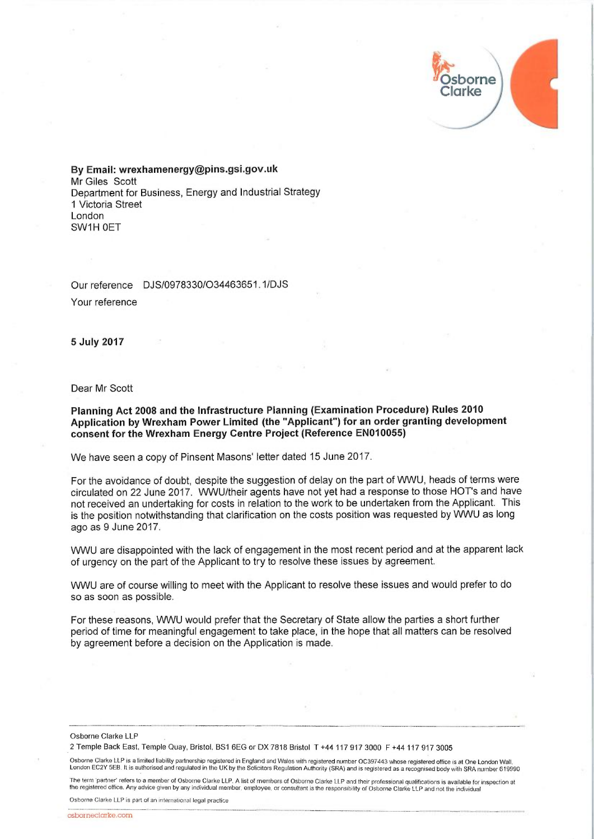$1/11$ j **"Osborne** rke

By Email: wrexhamenergy@pins.gsi.gov.uk Mr Giles Scott Department for Business, Energy and Industrial Strategy 1 Victoria Street London SW1H OET

Our reference DJS/0978330/034463651.1/DJS Your reference

5July 2017

Dear Mr Scott

## Planning Act 2008 and the Infrastructure Planning (Examination Procedure) Rules 2010 Application by Wrexham Power Limited (the "Applicant") for an order granting development consent for the Wrexham Energy Centre Project (Reference EN010055)

We have seen a copy of Pinsent Masons' letter dated 15 June 2017.

For the avoidance of doubt, despite the suggestion of delay on the part of WWU, heads of terms were circulated on 22 June 2017. WWU/their agents have not yet had a response to those HOT's and have not received an undertaking for costs in relation to the work to be undertaken from the Applicant. This is the position notwithstanding that clarification on the costs position was requested by WWU as long ago as 9 June 2017.

1NWU are disappointed with the lack of engagement in the most recent period and at the apparent lack of urgency on the part of the Applicant to try to resolve these issues by agreement.

1NWU are of course willing to meet with the Applicant to resolve these issues and would prefer to do so as soon as possible.

For these reasons, WWU would prefer that the Secretary of State allow the parties a short further period of time for meaningful engagement to take place, in the hope that all matters can be resolved by agreement before a decision on the Application is made.

Osborne Clarke LLP

2 Temple Back East, Temple Quay, Bristol, BS1 6EG or DX 7818 Bristol T +44 117 917 3000 F +44 117 917 3005

Osborne Clarke LLP is a limited liability partnership registered in England and Wales with registered number OC397443 whose registered office is at One London Wall.<br>London EC2Y 5EB. It is authorised and regulated in the UK

The term 'partner' refers to a member of Osborne Clarke LLP. A list of members of Osborne Clarke LLP and their professional qualifications is available for inspection at the registered office. My advice given by any individual member, employee, or consuttant is the responsibility of Osborne Clarke LLP and not fhe individual

Osborne Clarke LLP is part of an international legal practice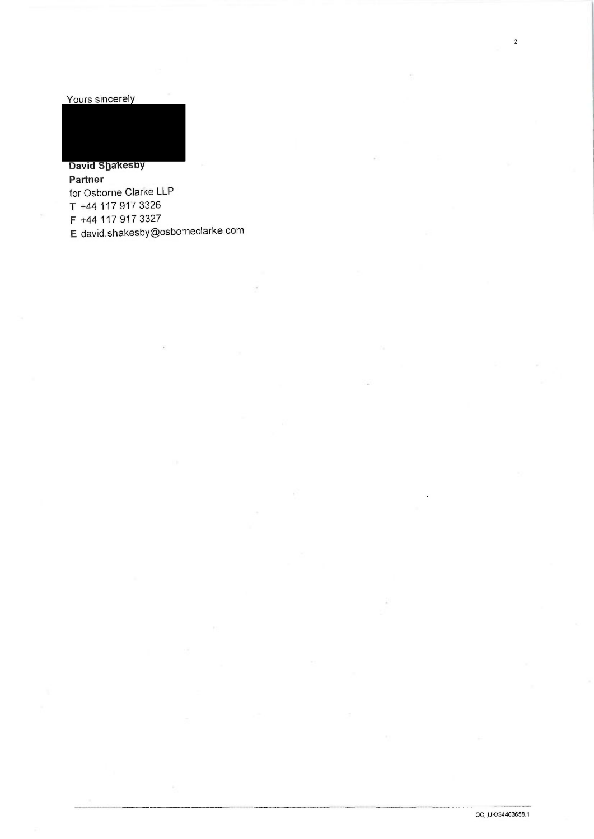Yours sincerely

David Shakesby Partner for Osborne Clarke LLP T +44 117 917 3326 F +44 117 917 3327 E david.shakesby@osborneclarke.com